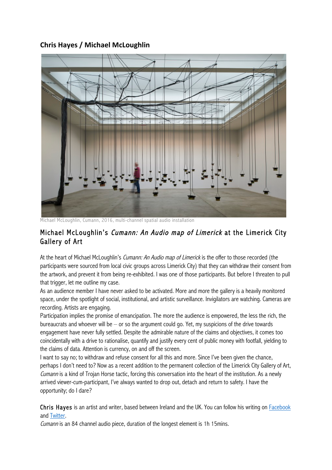## **Chris&Hayes&/&Michael&McLoughlin**



Michael McLoughlin, Cumann, 2016, multi-channel spatial audio installation

## Michael McLoughlin's Cumann: An Audio map of Limerick at the Limerick City Gallery of Art

At the heart of Michael McLoughlin's *Cumann: An Audio map of Limerick* is the offer to those recorded (the participants were sourced from local civic groups across Limerick City) that they can withdraw their consent from the artwork, and prevent it from being re-exhibited. I was one of those participants. But before I threaten to pull that trigger, let me outline my case.

As an audience member I have never asked to be activated. More and more the gallery is a heavily monitored space, under the spotlight of social, institutional, and artistic surveillance. Invigilators are watching. Cameras are recording. Artists are engaging.

Participation implies the promise of emancipation. The more the audience is empowered, the less the rich, the bureaucrats and whoever will be  $-$  or so the argument could go. Yet, my suspicions of the drive towards engagement have never fully settled. Despite the admirable nature of the claims and objectives, it comes too coincidentally with a drive to rationalise, quantify and justify every cent of public money with footfall, yielding to the claims of data. Attention is currency, on and off the screen.

I want to say no; to withdraw and refuse consent for all this and more. Since I've been given the chance, perhaps I don't need to? Now as a recent addition to the permanent collection of the Limerick City Gallery of Art, Cumann is a kind of Trojan Horse tactic, forcing this conversation into the heart of the institution. As a newly arrived viewer-cum-participant, I've always wanted to drop out, detach and return to safety. I have the opportunity; do I dare?

Chris Hayes is an artist and writer, based between Ireland and the UK. You can follow his writing on Facebook and Twitter.

Cumann is an 84 channel audio piece, duration of the longest element is 1h 15mins.